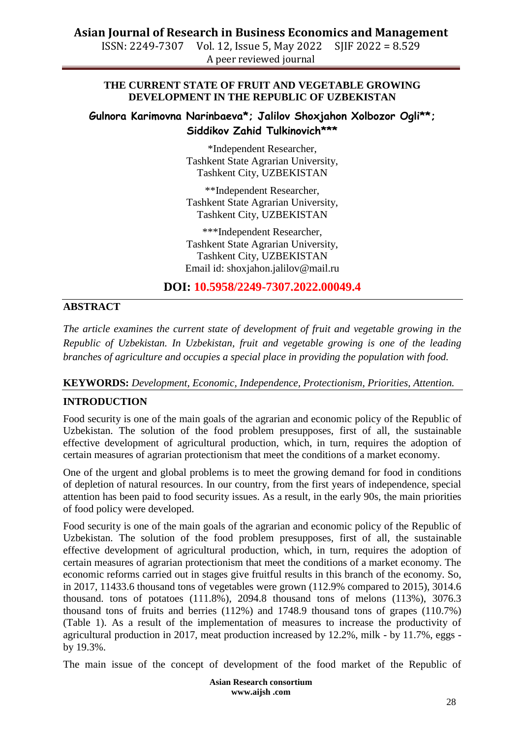ISSN: 2249-7307 Vol. 12, Issue 5, May 2022 SJIF 2022 = 8.529 A peer reviewed journal

#### **THE CURRENT STATE OF FRUIT AND VEGETABLE GROWING DEVELOPMENT IN THE REPUBLIC OF UZBEKISTAN**

# **Gulnora Karimovna Narinbaeva\*; Jalilov Shoxjahon Xolbozor Ogli\*\*; Siddikov Zahid Tulkinovich\*\*\***

\*Independent Researcher, Tashkent State Agrarian University, Tashkent City, UZBEKISTAN

\*\*Independent Researcher, Tashkent State Agrarian University, Tashkent City, UZBEKISTAN

\*\*\*Independent Researcher, Tashkent State Agrarian University, Tashkent City, UZBEKISTAN Email id: shoxjahon.jalilov@mail.ru

**DOI: 10.5958/2249-7307.2022.00049.4**

# **ABSTRACT**

*The article examines the current state of development of fruit and vegetable growing in the Republic of Uzbekistan. In Uzbekistan, fruit and vegetable growing is one of the leading branches of agriculture and occupies a special place in providing the population with food.*

#### **KEYWORDS:** *Development, Economic, Independence, Protectionism, Priorities, Attention.*

# **INTRODUCTION**

Food security is one of the main goals of the agrarian and economic policy of the Republic of Uzbekistan. The solution of the food problem presupposes, first of all, the sustainable effective development of agricultural production, which, in turn, requires the adoption of certain measures of agrarian protectionism that meet the conditions of a market economy.

One of the urgent and global problems is to meet the growing demand for food in conditions of depletion of natural resources. In our country, from the first years of independence, special attention has been paid to food security issues. As a result, in the early 90s, the main priorities of food policy were developed.

Food security is one of the main goals of the agrarian and economic policy of the Republic of Uzbekistan. The solution of the food problem presupposes, first of all, the sustainable effective development of agricultural production, which, in turn, requires the adoption of certain measures of agrarian protectionism that meet the conditions of a market economy. The economic reforms carried out in stages give fruitful results in this branch of the economy. So, in 2017, 11433.6 thousand tons of vegetables were grown (112.9% compared to 2015), 3014.6 thousand. tons of potatoes (111.8%), 2094.8 thousand tons of melons (113%), 3076.3 thousand tons of fruits and berries (112%) and 1748.9 thousand tons of grapes (110.7%) (Table 1). As a result of the implementation of measures to increase the productivity of agricultural production in 2017, meat production increased by 12.2%, milk - by 11.7%, eggs by 19.3%.

The main issue of the concept of development of the food market of the Republic of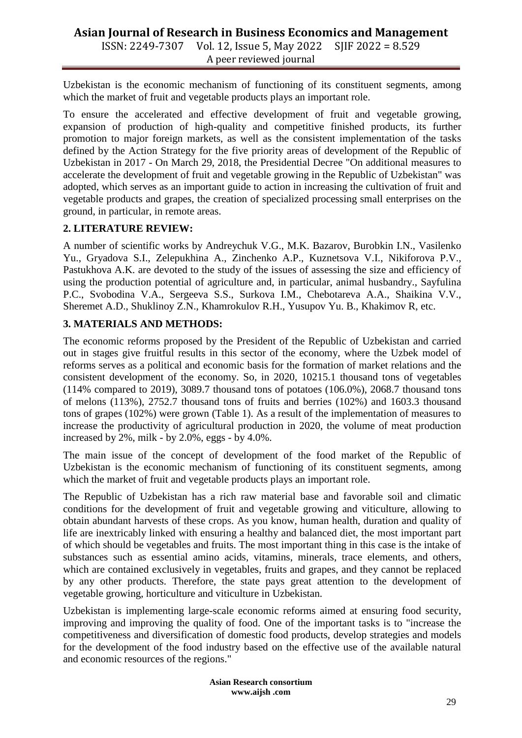ISSN: 2249-7307 Vol. 12, Issue 5, May 2022 SJIF 2022 = 8.529 A peer reviewed journal

Uzbekistan is the economic mechanism of functioning of its constituent segments, among which the market of fruit and vegetable products plays an important role.

To ensure the accelerated and effective development of fruit and vegetable growing, expansion of production of high-quality and competitive finished products, its further promotion to major foreign markets, as well as the consistent implementation of the tasks defined by the Action Strategy for the five priority areas of development of the Republic of Uzbekistan in 2017 - On March 29, 2018, the Presidential Decree "On additional measures to accelerate the development of fruit and vegetable growing in the Republic of Uzbekistan" was adopted, which serves as an important guide to action in increasing the cultivation of fruit and vegetable products and grapes, the creation of specialized processing small enterprises on the ground, in particular, in remote areas.

# **2. LITERATURE REVIEW:**

A number of scientific works by Andreychuk V.G., M.K. Bazarov, Burobkin I.N., Vasilenko Yu., Gryadova S.I., Zelepukhina A., Zinchenko A.P., Kuznetsova V.I., Nikiforova P.V., Pastukhova A.K. are devoted to the study of the issues of assessing the size and efficiency of using the production potential of agriculture and, in particular, animal husbandry., Sayfulina P.C., Svobodina V.A., Sergeeva S.S., Surkova I.M., Chebotareva A.A., Shaikina V.V., Sheremet A.D., Shuklinoy Z.N., Khamrokulov R.H., Yusupov Yu. B., Khakimov R, etc.

# **3. MATERIALS AND METHODS:**

The economic reforms proposed by the President of the Republic of Uzbekistan and carried out in stages give fruitful results in this sector of the economy, where the Uzbek model of reforms serves as a political and economic basis for the formation of market relations and the consistent development of the economy. So, in 2020, 10215.1 thousand tons of vegetables (114% compared to 2019), 3089.7 thousand tons of potatoes (106.0%), 2068.7 thousand tons of melons (113%), 2752.7 thousand tons of fruits and berries (102%) and 1603.3 thousand tons of grapes (102%) were grown (Table 1). As a result of the implementation of measures to increase the productivity of agricultural production in 2020, the volume of meat production increased by 2%, milk - by 2.0%, eggs - by 4.0%.

The main issue of the concept of development of the food market of the Republic of Uzbekistan is the economic mechanism of functioning of its constituent segments, among which the market of fruit and vegetable products plays an important role.

The Republic of Uzbekistan has a rich raw material base and favorable soil and climatic conditions for the development of fruit and vegetable growing and viticulture, allowing to obtain abundant harvests of these crops. As you know, human health, duration and quality of life are inextricably linked with ensuring a healthy and balanced diet, the most important part of which should be vegetables and fruits. The most important thing in this case is the intake of substances such as essential amino acids, vitamins, minerals, trace elements, and others, which are contained exclusively in vegetables, fruits and grapes, and they cannot be replaced by any other products. Therefore, the state pays great attention to the development of vegetable growing, horticulture and viticulture in Uzbekistan.

Uzbekistan is implementing large-scale economic reforms aimed at ensuring food security, improving and improving the quality of food. One of the important tasks is to "increase the competitiveness and diversification of domestic food products, develop strategies and models for the development of the food industry based on the effective use of the available natural and economic resources of the regions."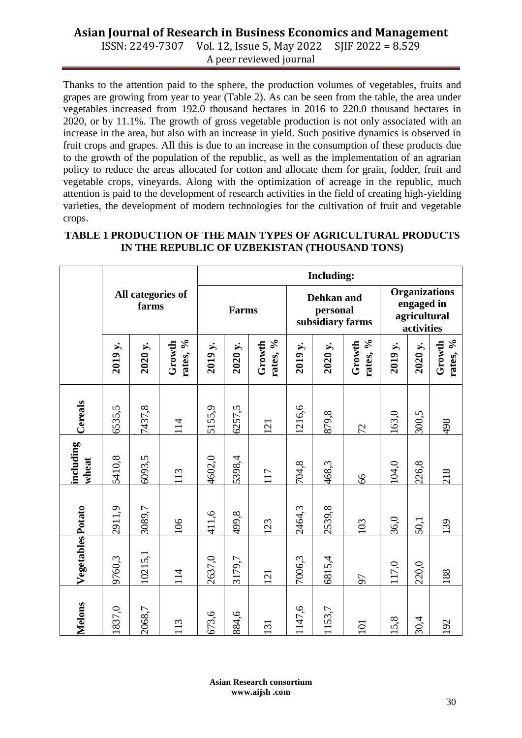ISSN: 2249-7307 Vol. 12, Issue 5, May 2022 SJIF 2022 = 8.529 A peer reviewed journal

Thanks to the attention paid to the sphere, the production volumes of vegetables, fruits and grapes are growing from year to year (Table 2). As can be seen from the table, the area under vegetables increased from 192.0 thousand hectares in 2016 to 220.0 thousand hectares in 2020, or by 11.1%. The growth of gross vegetable production is not only associated with an increase in the area, but also with an increase in yield. Such positive dynamics is observed in fruit crops and grapes. All this is due to an increase in the consumption of these products due to the growth of the population of the republic, as well as the implementation of an agrarian policy to reduce the areas allocated for cotton and allocate them for grain, fodder, fruit and vegetable crops, vineyards. Along with the optimization of acreage in the republic, much attention is paid to the development of research activities in the field of creating high-yielding varieties, the development of modern technologies for the cultivation of fruit and vegetable crops.

#### **TABLE 1 PRODUCTION OF THE MAIN TYPES OF AGRICULTURAL PRODUCTS IN THE REPUBLIC OF UZBEKISTAN (THOUSAND TONS)**

|                    |                            |         |                    | <b>Including:</b> |                                            |                    |                                                                  |         |                    |         |         |                    |
|--------------------|----------------------------|---------|--------------------|-------------------|--------------------------------------------|--------------------|------------------------------------------------------------------|---------|--------------------|---------|---------|--------------------|
|                    | All categories of<br>farms |         | Farms              |                   | Dehkan and<br>personal<br>subsidiary farms |                    | <b>Organizations</b><br>engaged in<br>agricultural<br>activities |         |                    |         |         |                    |
|                    | 2019 y.                    | 2020 y. | rates, %<br>Growth | 2019 y.           | 2020 y.                                    | rates, %<br>Growth | 2019 y.                                                          | 2020 y. | rates, %<br>Growth | 2019 y. | 2020 y. | rates, %<br>Growth |
| Cereals            | 6535,5                     | 7437,8  | 114                | 5155,9            | 6257,5                                     | 121                | 1216,6                                                           | 879,8   | 72                 | 163,0   | 300,5   | 498                |
| including<br>wheat | 5410,8                     | 6093,5  | 113                | 4602,0            | 5398,4                                     | 117                | 704,8                                                            | 468,3   | 99                 | 104,0   | 226,8   | 218                |
|                    | 2911,9                     | 3089,7  | 106                | 411,6             | 499,8                                      | 123                | 2464,3                                                           | 2539,8  | 103                | 36,0    | 50,1    | 139                |
| Vegetables Potato  | 9760,3                     | 10215,1 | 114                | 2637,0            | 3179,7                                     | 121                | 7006,3                                                           | 6815,4  | 50                 | 117,0   | 220,0   | 188                |
| Melons             | 1837,0                     | 2068,7  | 113                | 673,6             | 884,6                                      | 131                | 1147,6                                                           | 1153,7  | 101                | 15,8    | 30,4    | 192                |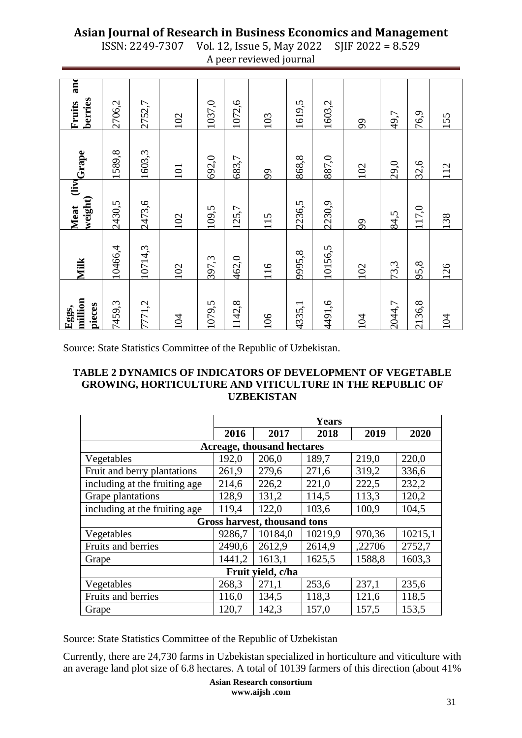| ISSN: 2249-7307 Vol. 12, Issue 5, May 2022 SJIF 2022 = 8.529 |  |
|--------------------------------------------------------------|--|
| A peer reviewed journal                                      |  |

| million<br>pieces<br>Eggs, | Milk    | weight)<br>Meat | (livecrape) | and<br>berries<br>Fruits |
|----------------------------|---------|-----------------|-------------|--------------------------|
| 7459,3                     | 10466,4 | 2430,5          | 1589,8      | 2706,2                   |
| 7771,2                     | 10714,3 | 2473,6          | 1603,3      | 2752,7                   |
| 104                        | 102     | 102             | 101         | 102                      |
| 1079,5                     | 397,3   | 109,5           | 692,0       | 1037,0                   |
| 1142,8                     | 462,0   | 125,7           | 683,7       | 1072,6                   |
| 106                        | 116     | 115             | 99          | 103                      |
| 4335,1                     | 9995,8  | 2236,5          | 868,8       | 1619,5                   |
| 4491,6                     | 10156,5 | 2230,9          | 887,0       | 1603,2                   |
| 104                        | 102     | 99              | 102         | 99                       |
| 2044,7                     | 73,3    | 84,5            | 29,0        | 49,7                     |
| 2136,8                     | 95,8    | 117,0           | 32,6        | 76,9                     |
| 104                        | 126     | 138             | 112         | 155                      |

Source: State Statistics Committee of the Republic of Uzbekistan.

#### **TABLE 2 DYNAMICS OF INDICATORS OF DEVELOPMENT OF VEGETABLE GROWING, HORTICULTURE AND VITICULTURE IN THE REPUBLIC OF UZBEKISTAN**

|                                   | <b>Years</b> |                |         |        |         |  |  |  |
|-----------------------------------|--------------|----------------|---------|--------|---------|--|--|--|
|                                   | 2016         | 2017           | 2018    | 2019   | 2020    |  |  |  |
| <b>Acreage, thousand hectares</b> |              |                |         |        |         |  |  |  |
| Vegetables                        | 192,0        | 206,0          | 189,7   | 219,0  | 220,0   |  |  |  |
| Fruit and berry plantations       | 261,9        | 279,6          | 271,6   | 319,2  | 336,6   |  |  |  |
| including at the fruiting age     | 214,6        | 226,2          | 221,0   | 222,5  | 232,2   |  |  |  |
| Grape plantations                 | 128,9        | 131,2          | 114,5   | 113,3  | 120,2   |  |  |  |
| including at the fruiting age     | 119,4        | 122,0<br>103,6 |         | 100,9  | 104,5   |  |  |  |
| Gross harvest, thousand tons      |              |                |         |        |         |  |  |  |
| Vegetables                        | 9286,7       | 10184,0        | 10219,9 | 970,36 | 10215,1 |  |  |  |
| Fruits and berries                | 2490,6       | 2612.9         | 2614,9  | ,22706 | 2752,7  |  |  |  |
| Grape                             | 1441,2       | 1613,1         | 1625,5  | 1588,8 | 1603,3  |  |  |  |
| Fruit yield, c/ha                 |              |                |         |        |         |  |  |  |
| Vegetables                        | 268,3        | 271,1          | 253,6   | 237,1  | 235,6   |  |  |  |
| Fruits and berries                | 116,0        | 134,5          | 118,3   | 121,6  | 118,5   |  |  |  |
| Grape                             | 120,7        | 142,3          | 157,0   | 157.5  | 153,5   |  |  |  |

Source: State Statistics Committee of the Republic of Uzbekistan

Currently, there are 24,730 farms in Uzbekistan specialized in horticulture and viticulture with an average land plot size of 6.8 hectares. A total of 10139 farmers of this direction (about 41%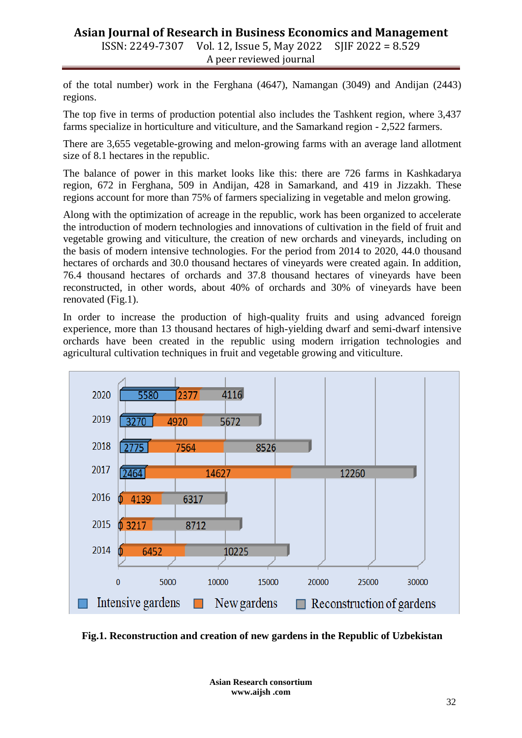### **Asian Journal of Research in Business Economics and Management** ISSN: 2249-7307 Vol. 12, Issue 5, May 2022 SJIF 2022 = 8.529 A peer reviewed journal

of the total number) work in the Ferghana (4647), Namangan (3049) and Andijan (2443) regions.

The top five in terms of production potential also includes the Tashkent region, where 3,437 farms specialize in horticulture and viticulture, and the Samarkand region - 2,522 farmers.

There are 3,655 vegetable-growing and melon-growing farms with an average land allotment size of 8.1 hectares in the republic.

The balance of power in this market looks like this: there are 726 farms in Kashkadarya region, 672 in Ferghana, 509 in Andijan, 428 in Samarkand, and 419 in Jizzakh. These regions account for more than 75% of farmers specializing in vegetable and melon growing.

Along with the optimization of acreage in the republic, work has been organized to accelerate the introduction of modern technologies and innovations of cultivation in the field of fruit and vegetable growing and viticulture, the creation of new orchards and vineyards, including on the basis of modern intensive technologies. For the period from 2014 to 2020, 44.0 thousand hectares of orchards and 30.0 thousand hectares of vineyards were created again. In addition, 76.4 thousand hectares of orchards and 37.8 thousand hectares of vineyards have been reconstructed, in other words, about 40% of orchards and 30% of vineyards have been renovated (Fig.1).

In order to increase the production of high-quality fruits and using advanced foreign experience, more than 13 thousand hectares of high-yielding dwarf and semi-dwarf intensive orchards have been created in the republic using modern irrigation technologies and agricultural cultivation techniques in fruit and vegetable growing and viticulture.



**Fig.1. Reconstruction and creation of new gardens in the Republic of Uzbekistan**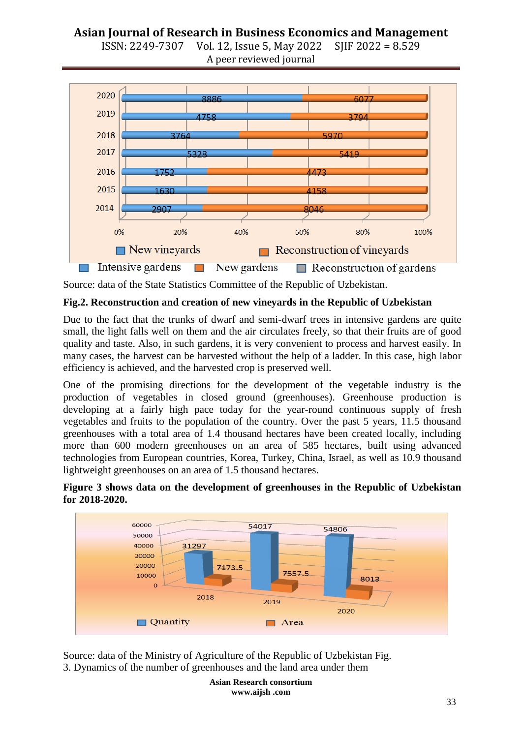



Source: data of the State Statistics Committee of the Republic of Uzbekistan.

#### **Fig.2. Reconstruction and creation of new vineyards in the Republic of Uzbekistan**

Due to the fact that the trunks of dwarf and semi-dwarf trees in intensive gardens are quite small, the light falls well on them and the air circulates freely, so that their fruits are of good quality and taste. Also, in such gardens, it is very convenient to process and harvest easily. In many cases, the harvest can be harvested without the help of a ladder. In this case, high labor efficiency is achieved, and the harvested crop is preserved well.

One of the promising directions for the development of the vegetable industry is the production of vegetables in closed ground (greenhouses). Greenhouse production is developing at a fairly high pace today for the year-round continuous supply of fresh vegetables and fruits to the population of the country. Over the past 5 years, 11.5 thousand greenhouses with a total area of 1.4 thousand hectares have been created locally, including more than 600 modern greenhouses on an area of 585 hectares, built using advanced technologies from European countries, Korea, Turkey, China, Israel, as well as 10.9 thousand lightweight greenhouses on an area of 1.5 thousand hectares.





Source: data of the Ministry of Agriculture of the Republic of Uzbekistan Fig. 3. Dynamics of the number of greenhouses and the land area under them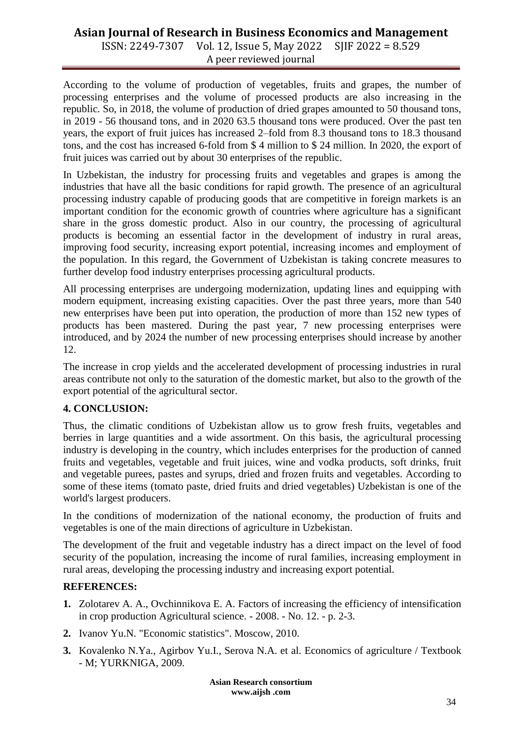ISSN: 2249-7307 Vol. 12, Issue 5, May 2022 SJIF 2022 = 8.529 A peer reviewed journal

According to the volume of production of vegetables, fruits and grapes, the number of processing enterprises and the volume of processed products are also increasing in the republic. So, in 2018, the volume of production of dried grapes amounted to 50 thousand tons, in 2019 - 56 thousand tons, and in 2020 63.5 thousand tons were produced. Over the past ten years, the export of fruit juices has increased 2–fold from 8.3 thousand tons to 18.3 thousand tons, and the cost has increased 6-fold from \$ 4 million to \$ 24 million. In 2020, the export of fruit juices was carried out by about 30 enterprises of the republic.

In Uzbekistan, the industry for processing fruits and vegetables and grapes is among the industries that have all the basic conditions for rapid growth. The presence of an agricultural processing industry capable of producing goods that are competitive in foreign markets is an important condition for the economic growth of countries where agriculture has a significant share in the gross domestic product. Also in our country, the processing of agricultural products is becoming an essential factor in the development of industry in rural areas, improving food security, increasing export potential, increasing incomes and employment of the population. In this regard, the Government of Uzbekistan is taking concrete measures to further develop food industry enterprises processing agricultural products.

All processing enterprises are undergoing modernization, updating lines and equipping with modern equipment, increasing existing capacities. Over the past three years, more than 540 new enterprises have been put into operation, the production of more than 152 new types of products has been mastered. During the past year, 7 new processing enterprises were introduced, and by 2024 the number of new processing enterprises should increase by another 12.

The increase in crop yields and the accelerated development of processing industries in rural areas contribute not only to the saturation of the domestic market, but also to the growth of the export potential of the agricultural sector.

# **4. CONCLUSION:**

Thus, the climatic conditions of Uzbekistan allow us to grow fresh fruits, vegetables and berries in large quantities and a wide assortment. On this basis, the agricultural processing industry is developing in the country, which includes enterprises for the production of canned fruits and vegetables, vegetable and fruit juices, wine and vodka products, soft drinks, fruit and vegetable purees, pastes and syrups, dried and frozen fruits and vegetables. According to some of these items (tomato paste, dried fruits and dried vegetables) Uzbekistan is one of the world's largest producers.

In the conditions of modernization of the national economy, the production of fruits and vegetables is one of the main directions of agriculture in Uzbekistan.

The development of the fruit and vegetable industry has a direct impact on the level of food security of the population, increasing the income of rural families, increasing employment in rural areas, developing the processing industry and increasing export potential.

#### **REFERENCES:**

- **1.** Zolotarev A. A., Ovchinnikova E. A. Factors of increasing the efficiency of intensification in crop production Agricultural science. - 2008. - No. 12. - p. 2-3.
- **2.** Ivanov Yu.N. "Economic statistics". Moscow, 2010.
- **3.** Kovalenko N.Ya., Agirbov Yu.I., Serova N.A. et al. Economics of agriculture / Textbook - M; YURKNIGA, 2009.